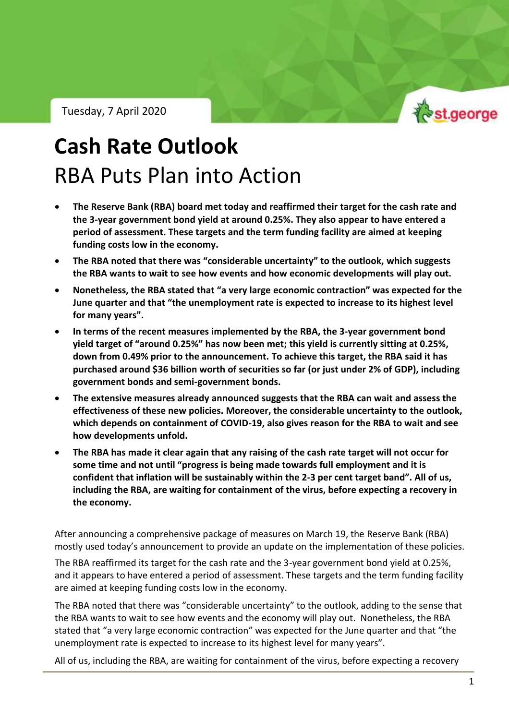Tuesday, 7 April 2020



RBA Outlook – Tuesday, 7 April 2020

# **Cash Rate Outlook** RBA Puts Plan into Action

- **The Reserve Bank (RBA) board met today and reaffirmed their target for the cash rate and the 3-year government bond yield at around 0.25%. They also appear to have entered a period of assessment. These targets and the term funding facility are aimed at keeping funding costs low in the economy.**
- **The RBA noted that there was "considerable uncertainty" to the outlook, which suggests the RBA wants to wait to see how events and how economic developments will play out.**
- **Nonetheless, the RBA stated that "a very large economic contraction" was expected for the June quarter and that "the unemployment rate is expected to increase to its highest level for many years".**
- **In terms of the recent measures implemented by the RBA, the 3-year government bond yield target of "around 0.25%" has now been met; this yield is currently sitting at 0.25%, down from 0.49% prior to the announcement. To achieve this target, the RBA said it has purchased around \$36 billion worth of securities so far (or just under 2% of GDP), including government bonds and semi-government bonds.**
- **The extensive measures already announced suggests that the RBA can wait and assess the effectiveness of these new policies. Moreover, the considerable uncertainty to the outlook, which depends on containment of COVID-19, also gives reason for the RBA to wait and see how developments unfold.**
- **The RBA has made it clear again that any raising of the cash rate target will not occur for some time and not until "progress is being made towards full employment and it is confident that inflation will be sustainably within the 2-3 per cent target band". All of us, including the RBA, are waiting for containment of the virus, before expecting a recovery in the economy.**

After announcing a comprehensive package of measures on March 19, the Reserve Bank (RBA) mostly used today's announcement to provide an update on the implementation of these policies.

The RBA reaffirmed its target for the cash rate and the 3-year government bond yield at 0.25%, and it appears to have entered a period of assessment. These targets and the term funding facility are aimed at keeping funding costs low in the economy.

The RBA noted that there was "considerable uncertainty" to the outlook, adding to the sense that the RBA wants to wait to see how events and the economy will play out. Nonetheless, the RBA stated that "a very large economic contraction" was expected for the June quarter and that "the unemployment rate is expected to increase to its highest level for many years".

All of us, including the RBA, are waiting for containment of the virus, before expecting a recovery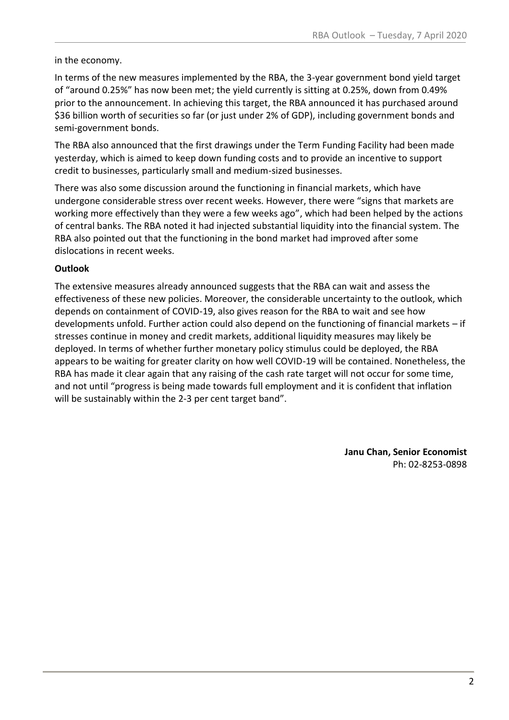in the economy.

In terms of the new measures implemented by the RBA, the 3-year government bond yield target of "around 0.25%" has now been met; the yield currently is sitting at 0.25%, down from 0.49% prior to the announcement. In achieving this target, the RBA announced it has purchased around \$36 billion worth of securities so far (or just under 2% of GDP), including government bonds and semi-government bonds.

The RBA also announced that the first drawings under the Term Funding Facility had been made yesterday, which is aimed to keep down funding costs and to provide an incentive to support credit to businesses, particularly small and medium-sized businesses.

There was also some discussion around the functioning in financial markets, which have undergone considerable stress over recent weeks. However, there were "signs that markets are working more effectively than they were a few weeks ago", which had been helped by the actions of central banks. The RBA noted it had injected substantial liquidity into the financial system. The RBA also pointed out that the functioning in the bond market had improved after some dislocations in recent weeks.

### **Outlook**

The extensive measures already announced suggests that the RBA can wait and assess the effectiveness of these new policies. Moreover, the considerable uncertainty to the outlook, which depends on containment of COVID-19, also gives reason for the RBA to wait and see how developments unfold. Further action could also depend on the functioning of financial markets – if stresses continue in money and credit markets, additional liquidity measures may likely be deployed. In terms of whether further monetary policy stimulus could be deployed, the RBA appears to be waiting for greater clarity on how well COVID-19 will be contained. Nonetheless, the RBA has made it clear again that any raising of the cash rate target will not occur for some time, and not until "progress is being made towards full employment and it is confident that inflation will be sustainably within the 2-3 per cent target band".

> **Janu Chan, Senior Economist** Ph: 02-8253-0898